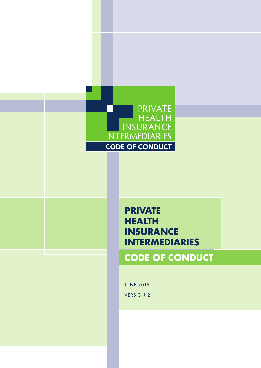

# **PRIVATE HEALTH INSURANCE INTERMEDIARIES**

# **CODE OF CONDUCT**

JUNE 2015

VERSION 2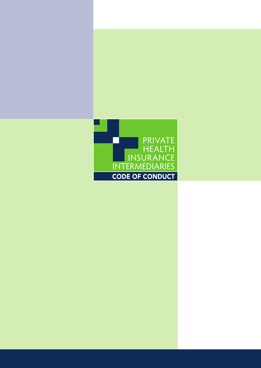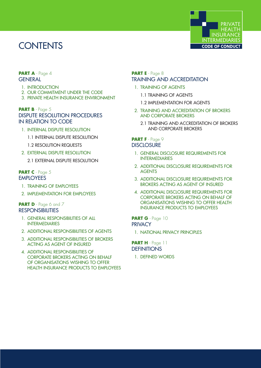# **CONTENTS**



#### **PART A** - Page 4 **GENERAL**

- 1. INTRODUCTION
- 2. OUR COMMITMENT UNDER THE CODE
- 3. PRIVATE HEALTH INSURANCE ENVIRONMENT

#### **PART B** - Page 5 DISPUTE RESOLUTION PROCEDURES IN RELATION TO CODE

- 1. INTERNAL DISPUTE RESOLUTION
	- 1.1 INTERNAL DISPUTE RESOLUTION
	- 1.2 RESOLUTION REQUESTS
- 2. EXTERNAL DISPUTE RESOLUTION
	- 2.1 EXTERNAL DISPUTE RESOLUTION

#### **PART C** - Page 5 **EMPLOYEES**

- 1. TRAINING OF EMPLOYEES
- 2. IMPLEMENTATION FOR EMPLOYEES

#### **PART D** - Page 6 and 7 **RESPONSIBILITIES**

- 1. GENERAL RESPONSIBILITIES OF ALL INTERMEDIARIES
- 2. ADDITIONAL RESPONSIBILITIES OF AGENTS
- 3. ADDITIONAL RESPONSIBILITIES OF BROKERS ACTING AS AGENT OF INSURED
- 4. ADDITIONAL RESPONSIBILITIES OF CORPORATE BROKERS ACTING ON BEHALF OF ORGANISATIONS WISHING TO OFFER HEALTH INSURANCE PRODUCTS TO EMPLOYEES

#### **PART E** - Page 8 TRAINING AND ACCREDITATION

- 1. TRAINING OF AGENTS
	- 1.1 TRAINING OF AGENTS
	- 1.2 IMPLEMENTATION FOR AGENTS
- 2. TRAINING AND ACCREDITATION OF BROKERS AND CORPORATE BROKERS
	- 2.1 TRAINING AND ACCREDITATION OF BROKERS AND CORPORATE BROKERS

#### PART F - Page 9 **DISCLOSURE**

- 1. GENERAL DISCLOSURE REQUIREMENTS FOR INTERMEDIARIES
- 2. ADDITIONAL DISCLOSURE REQUIREMENTS FOR AGENTS
- 3. ADDITIONAL DISCLOSURE REQUIREMENTS FOR BROKERS ACTING AS AGENT OF INSURED
- 4. ADDITIONAL DISCLOSURE REQUIREMENTS FOR CORPORATE BROKERS ACTING ON BEHALF OF ORGANISATIONS WISHING TO OFFER HEALTH INSURANCE PRODUCTS TO EMPLOYEES

#### **PART G** - Page 10 **PRIVACY**

1. NATIONAL PRIVACY PRINCIPLES

PART H - Page 11 **DEFINITIONS** 

1. DEFINED WORDS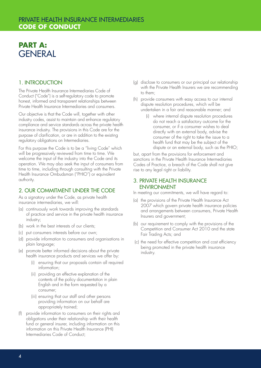# **PART A: GENERAL**

## 1. INTRODUCTION

The Private Health Insurance Intermediaries Code of Conduct ("Code") is a self-regulatory code to promote honest, informed and transparent relationships between Private Health Insurance Intermediaries and consumers.

Our objective is that the Code will, together with other industry codes, assist to maintain and enhance regulatory compliance and service standards across the private health insurance industry. The provisions in this Code are for the purpose of clarification, or are in addition to the existing regulatory obligations on Intermediaries.

For this purpose the Code is to be a "living Code" which will be progressively reviewed from time to time. We welcome the input of the industry into the Code and its operation. We may also seek the input of consumers from time to time, including through consulting with the Private Health Insurance Ombudsman ("PHIO") or equivalent authority.

## 2. OUR COMMITMENT UNDER THE CODE

As a signatory under the Code, as private health insurance intermediaries, we will:

- (a) continuously work towards improving the standards of practice and service in the private health insurance industry;
- (b) work in the best interests of our clients;
- (c) put consumers interests before our own;
- (d) provide information to consumers and organisations in plain language;
- (e) promote better informed decisions about the private health insurance products and services we offer by:
	- (i) ensuring that our proposals contain all required information;
	- (ii) providing an effective explanation of the contents of the policy documentation in plain English and in the form requested by a consumer;
	- (iii) ensuring that our staff and other persons providing information on our behalf are appropriately trained;
- (f) provide information to consumers on their rights and obligations under their relationship with their health fund or general insurer, including information on this information on this Private Health Insurance (PHI) Intermediaries Code of Conduct;
- (g) disclose to consumers or our principal our relationship with the Private Health Insurers we are recommending to them;
- (h) provide consumers with easy access to our internal dispute resolution procedures, which will be undertaken in a fair and reasonable manner; and
	- (i) where internal dispute resolution procedures do not reach a satisfactory outcome for the consumer, or if a consumer wishes to deal directly with an external body, advise the consumer of the right to take the issue to a health fund that may be the subject of the dispute or an external body, such as the PHIO;

but, apart from the provisions for enforcement and sanctions in the Private Health Insurance Intermediaries Codes of Practice, a breach of the Code shall not give rise to any legal right or liability.

## 3. PRIVATE HEALTH INSURANCE ENVIRONMENT

In meeting our commitments, we will have regard to:

- (a) the provisions of the Private Health Insurance Act 2007 which govern private health insurance policies and arrangements between consumers, Private Health Insurers and government;
- (b) our requirement to comply with the provisions of the Competition and Consumer Act 2010 and the state Fair Trading Acts; and
- (c) the need for effective competition and cost efficiency being promoted in the private health insurance industry.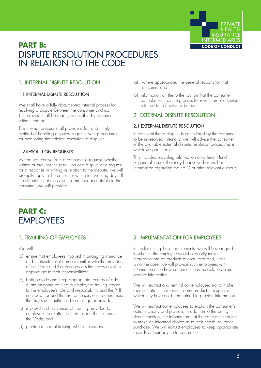

# **PART B:**  DISPUTE RESOLUTION PROCEDURES IN RELATION TO THE CODE

# 1. INTERNAL DISPUTE RESOLUTION

#### 1.1 INTERNAL DISPUTE RESOLUTION

We shall have a fully documented internal process for resolving a dispute between the consumer and us. This process shall be readily accessible by consumers, without charge.

The internal process shall provide a fair and timely method of handling disputes, together with procedures for monitoring the efficient resolution of disputes.

#### 1.2 RESOLUTION REQUESTS

Where we receive from a consumer a request, whether written or oral, for the resolution of a dispute or a request for a response in writing in relation to the dispute, we will promptly reply to the consumer within ten working days. If the dispute is not resolved in a manner acceptable to the consumer, we will provide:

- (a) where appropriate, the general reasons for that outcome; and
- (b) information on the further action that the consumer can take such as the process for resolution of disputes referred to in Section 2 below.

## 2. EXTERNAL DISPUTE RESOLUTION

#### 2.1 EXTERNAL DISPUTE RESOLUTION

In the event that a dispute is considered by the consumer to be unresolved internally, we will advise the consumer of the available external dispute resolution procedures in which we participate.

This includes providing information on a health fund or general insurer that may be involved as well as information regarding the PHIO or other relevant authority.

# **PART C:**  EMPLOYEES

# 1. TRAINING OF EMPLOYEES

We will:

- (a) ensure that employees involved in arranging insurance and in dispute resolution are familiar with the provisions of this Code and that they possess the necessary skills appropriate to their responsibilities;
- (b) both provide and keep appropriate records of adequate on-going training to employees having regard to the employee's role and responsibility and the PHI contracts for and the insurance services to consumers that he/she is authorised to arrange or provide;
- (c) review the effectiveness of training provided to employees in relation to their responsibilities under the Code; and
- (d) provide remedial training where necessary.

# 2. IMPLEMENTATION FOR EMPLOYEES

In implementing these requirements, we will have regard to whether the employee would ordinarily make representations on products to consumers and, if this is not the case, we will provide such employees with information as to how consumers may be able to obtain product information.

We will instruct and remind our employees not to make representations in relation to any product in respect of which they have not been trained to provide information.

We will instruct our employees to explain the consumer's options clearly and provide, in addition to the policy documentation, the information that the consumer requires to make an informed choice as to their health insurance purchase. We will instruct employees to keep appropriate records of their advice to consumers.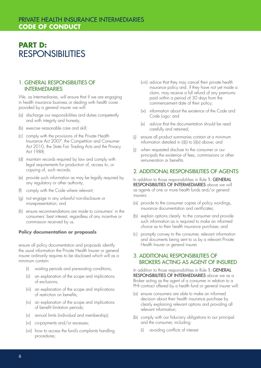# PRIVATE HEALTH INSURANCE INTERMEDIARIES **CODE OF CONDUCT**

# **PART D: RESPONSIBILITIES**

#### 1. GENERAL RESPONSIBILITIES OF INTERMEDIARIES

We, as Intermediaries, will ensure that if we are engaging in health insurance business or dealing with health cover provided by a general insurer we will:

- (a) discharge our responsibilities and duties competently and with integrity and honesty;
- (b) exercise reasonable care and skill;
- (c) comply with the provisions of the Private Health Insurance Act 2007, the Competition and Consumer Act 2010, the State Fair Trading Acts and the Privacy Act 1988;
- (d) maintain records required by law and comply with legal requirements for production of, access to, or copying of, such records;
- (e) provide such information as may be legally required by any regulatory or other authority;
- (f) comply with the Code where relevant;
- (g) not engage in any unlawful non-disclosure or misrepresentation; and
- (h) ensure recommendations are made to consumers' in the consumers' best interest, regardless of any incentive or commission received by us.

#### **Policy documentation or proposals**

ensure all policy documentation and proposals identify the usual information the Private Health Insurer or general insurer ordinarily requires to be disclosed which will as a minimum contain:

- (i) waiting periods and pre-existing conditions;
- (ii) an explanation of the scope and implications of exclusions;
- (iii) an explanation of the scope and implications of restriction on benefits;
- (iv) an explanation of the scope and implications of benefit limitation periods;
- (v) annual limits (individual and membership);
- (vi) co-payments and/or excesses;
- (vii) how to access the fund's complaints handling procedures;
- (viii) advice that they may cancel their private health insurance policy and, if they have not yet made a claim, may receive a full refund of any premiums paid within a period of 30 days from the commencement date of their policy;
- (ix) information about the existence of the Code and Code Logo; and
- (x) advice that the documentation should be read carefully and retained;
- (j) ensure all product summaries contain at a minimum information detailed in (i)(i) to (i)(x) above; and
- (j) when requested disclose to the consumer or our principals the existence of fees, commissions or other remuneration or benefits.

## 2. ADDITIONAL RESPONSIBILITIES OF AGENTS

In addition to those responsibilities in Rule 1. GENERAL RESPONSIBILITIES OF INTERMEDIARIES above we will as agents of one or more health funds and/or general insurers:

- (a) provide to the consumer copies of policy wordings, insurance documentation and certificates;
- (b) explain options clearly to the consumer and provide such information as is required to make an informed choice as to their health insurance purchase; and
- (c) promptly convey to the consumer, relevant information and documents being sent to us by a relevant Private Health Insurer or general insurer.

#### 3. ADDITIONAL RESPONSIBILITIES OF BROKERS ACTING AS AGENT OF INSURED

In addition to those responsibilities in Rule 1. GENERAL RESPONSIBILITIES OF INTERMEDIARIES above we as a Broker acting as the agent of a consumer in relation to a PHI contract offered by a health fund or general insurer will:

- (a) ensure consumers are able to make an informed decision about their health insurance purchase by clearly explaining relevant options and providing all relevant information;
- (b) comply with our fiduciary obligations to our principal and the consumer, including:
	- (i) avoiding conflicts of interest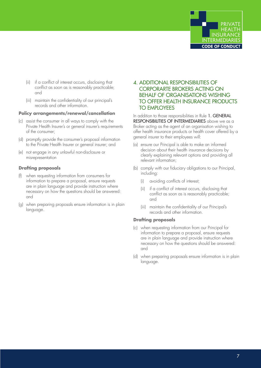

- (ii) if a conflict of interest occurs, disclosing that conflict as soon as is reasonably practicable; and
- (iii) maintain the confidentiality of our principal's records and other information.

#### **Policy arrangements/renewal/cancellation**

- (c) assist the consumer in all ways to comply with the Private Health Insurer's or general insurer's requirements of the consumer;
- (d) promptly provide the consumer's proposal information to the Private Health Insurer or general insurer; and
- (e) not engage in any unlawful non-disclosure or misrepresentation

#### **Drafting proposals**

- (f) when requesting information from consumers for information to prepare a proposal, ensure requests are in plain language and provide instruction where necessary on how the questions should be answered: and
- (g) when preparing proposals ensure information is in plain language.

### 4. ADDITIONAL RESPONSIBILITIES OF CORPORARTE BROKERS ACTING ON BEHALF OF ORGANISATIONS WISHING TO OFFER HEALTH INSURANCE PRODUCTS TO EMPLOYEES

#### In addition to those responsibilities in Rule 1. GENERAL RESPONSIBILITIES OF INTERMEDIARIES above we as a Broker acting as the agent of an organisation wishing to offer health insurance products or health cover offered by a general insurer to their employees will:

- (a) ensure our Principal is able to make an informed decision about their health insurance decisions by clearly explaining relevant options and providing all relevant information;
- (b) comply with our fiduciary obligations to our Principal, including:
	- (i) avoiding conflicts of interest;
	- (ii) if a conflict of interest occurs, disclosing that conflict as soon as is reasonably practicable; and
	- (iii) maintain the confidentiality of our Principal's records and other information.

#### **Drafting proposals**

- (c) when requesting information from our Principal for information to prepare a proposal, ensure requests are in plain language and provide instruction where necessary on how the questions should be answered: and
- (d) when preparing proposals ensure information is in plain language.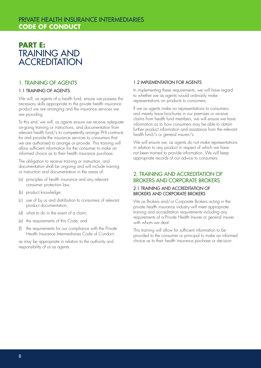# PRIVATE HEALTH INSURANCE INTERMEDIARIES **CODE OF CONDUCT**

# **PART E:**  TRAINING AND **ACCREDITATION**

## 1. TRAINING OF AGENTS

#### 1.1 TRAINING OF AGENTS

We will, as agents of a health fund, ensure we possess the necessary skills appropriate to the private health insurance product we are arranging and the insurance services we are providing.

To this end, we will, as agents ensure we receive adequate on-going training or instructions, and documentation from relevant health fund/s to competently arrange PHI contracts for and provide the insurance services to consumers that we are authorised to arrange or provide. This training will allow sufficient information for the consumer to make an informed choice as to their health insurance purchase.

The obligation to receive training or instruction, and documentation shall be ongoing and will include training or instruction and documentation in the areas of:

- (a) principles of health insurance and any relevant consumer protection law;
- (b) product knowledge;
- (c) use of by us and distribution to consumers of relevant product documentation;
- (d) what to do in the event of a claim;
- (e) the requirements of this Code; and
- (f) the requirements for our compliance with the Private Health Insurance Intermediaries Code of Conduct;

as may be appropriate in relation to the authority and responsibility of us as agents.

#### 1.2 IMPLEMENTATION FOR AGENTS

In implementing these requirements, we will have regard to whether we as agents would ordinarily make representations on products to consumers.

If we as agents make no representations to consumers and merely have brochures in our premises or receive claims from health fund members, we will ensure we have information as to how consumers may be able to obtain further product information and assistance from the relevant health fund/s or general insurer/s.

We will ensure we, as agents do not make representations in relation to any product in respect of which we have not been trained to provide information. We will keep appropriate records of our advice to consumers.

## 2. TRAINING AND ACCREDITATION OF BROKERS AND CORPORATE BROKERS

#### 2.1 TRAINING AND ACCREDITATION OF BROKERS AND CORPORATE BROKERS

We as Brokers and/or Corporate Brokers acting in the private health insurance industry will meet appropriate training and accreditation requirements including any requirements of a Private Health Insurer or general insurer with whom we deal.

This training will allow for sufficient information to be provided to the consumer or principal to make an informed choice as to their health insurance purchase or decision.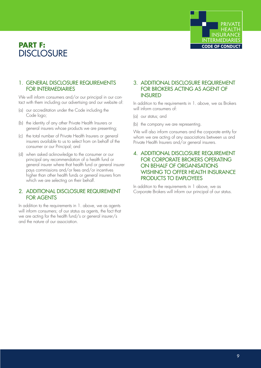# **PART F: DISCLOSURF**



## 1. GENERAL DISCLOSURE REQUIREMENTS FOR INTERMEDIARIES

We will inform consumers and/or our principal in our contact with them including our advertising and our website of:

- (a) our accreditation under the Code including the Code logo;
- (b) the identity of any other Private Health Insurers or general insurers whose products we are presenting;
- (c) the total number of Private Health Insurers or general insurers available to us to select from on behalf of the consumer or our Principal; and
- (d) when asked acknowledge to the consumer or our principal any recommendation of a health fund or general insurer where that health fund or general insurer pays commissions and/or fees and/or incentives higher than other health funds or general insurers from which we are selecting on their behalf.

## 2. ADDITIONAL DISCLOSURE REQUIREMENT FOR AGENTS

In addition to the requirements in 1. above, we as agents will inform consumers; of our status as agents, the fact that we are acting for the health fund/s or general insurer/s and the nature of our association.

## 3. ADDITIONAL DISCLOSURE REQUIREMENT FOR BROKERS ACTING AS AGENT OF **INSURED**

In addition to the requirements in 1. above, we as Brokers will inform consumers of:

- (a) our status; and
- (b) the company we are representing.

We will also inform consumers and the corporate entity for whom we are acting of any associations between us and Private Health Insurers and/or general insurers.

### 4. ADDITIONAL DISCLOSURE REQUIREMENT FOR CORPORATE BROKERS OPERATING ON BEHALF OF ORGANISATIONS WISHING TO OFFER HEALTH INSURANCE PRODUCTS TO EMPLOYEES

In addition to the requirements in 1 above, we as Corporate Brokers will inform our principal of our status.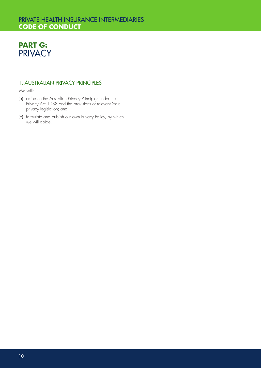# PRIVATE HEALTH INSURANCE INTERMEDIARIES **CODE OF CONDUCT**



## 1. AUSTRALIAN PRIVACY PRINCIPLES

We will:

- (a) embrace the Australian Privacy Principles under the Privacy Act 1988 and the provisions of relevant State privacy legislation; and
- (b) formulate and publish our own Privacy Policy, by which we will abide.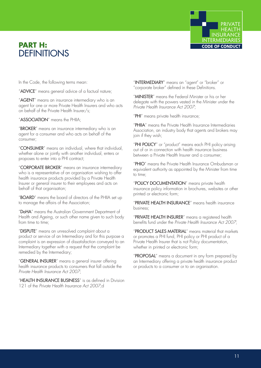# **PART H: DEFINITIONS**



In the Code, the following terms mean:

"ADVICE" means general advice of a factual nature;

"AGENT" means an insurance intermediary who is an agent for one or more Private Health Insurers and who acts on behalf of the Private Health Insurer/s;

"ASSOCIATION" means the PHIIA;

"BROKER" means an insurance intermediary who is an agent for a consumer and who acts on behalf of the consumer;

"CONSUMER" means an individual, where that individual, whether alone or jointly with another individual, enters or proposes to enter into a PHI contract;

"CORPORATE BROKER" means an insurance intermediary who is a representative of an organisation wishing to offer health insurance products provided by a Private Health Insurer or general insurer to their employees and acts on behalf of that organisation;

"BOARD" means the board of directors of the PHIIA set up to manage the affairs of the Association;

"DoHA" means the Australian Government Department of Health and Ageing, or such other name given to such body from time to time:

"DISPUTE" means an unresolved complaint about a product or service of an Intermediary and for this purpose a complaint is an expression of dissatisfaction conveyed to an Intermediary together with a request that the complaint be remedied by the Intermediary;

"GENERAL INSURER" means a general insurer offering health insurance products to consumers that fall outside the *Private Health Insurance Act 2007*;

"HEALTH INSURANCE BUSINESS" is as defined in Division 121 of the *Private Health Insurance Act 2007*;d

"INTERMEDIARY" means an "agent" or "broker" or "corporate broker" defined in these Definitions.

"MINISTER" means the Federal Minister or his or her delegate with the powers vested in the Minister under the *Private Health Insurance Act 2007*;

"PHI" means private health insurance;

"PHIIA" means the Private Health Insurance Intermediaries Association, an industry body that agents and brokers may join if they wish;

"PHI POLICY" or "product" means each PHI policy arising out of or in connection with health insurance business between a Private Health Insurer and a consumer;

"PHIO" means the Private Health Insurance Ombudsman or equivalent authority as appointed by the Minister from time to time;

"POLICY DOCUMENTATION" means private health insurance policy information in brochures, websites or other printed or electronic form;

"PRIVATE HEALTH INSURANCE" means health insurance business;

"PRIVATE HEALTH INSURER" means a registered health benefits fund under the *Private Health Insurance Act 2007*;

"PRODUCT SALES MATERIAL" means material that markets or promotes a PHI fund, PHI policy or PHI product of a Private Health Insurer that is not Policy documentation, whether in printed or electronic form;

"PROPOSAL" means a document in any form prepared by an Intermediary offering a private health insurance product or products to a consumer or to an organisation.